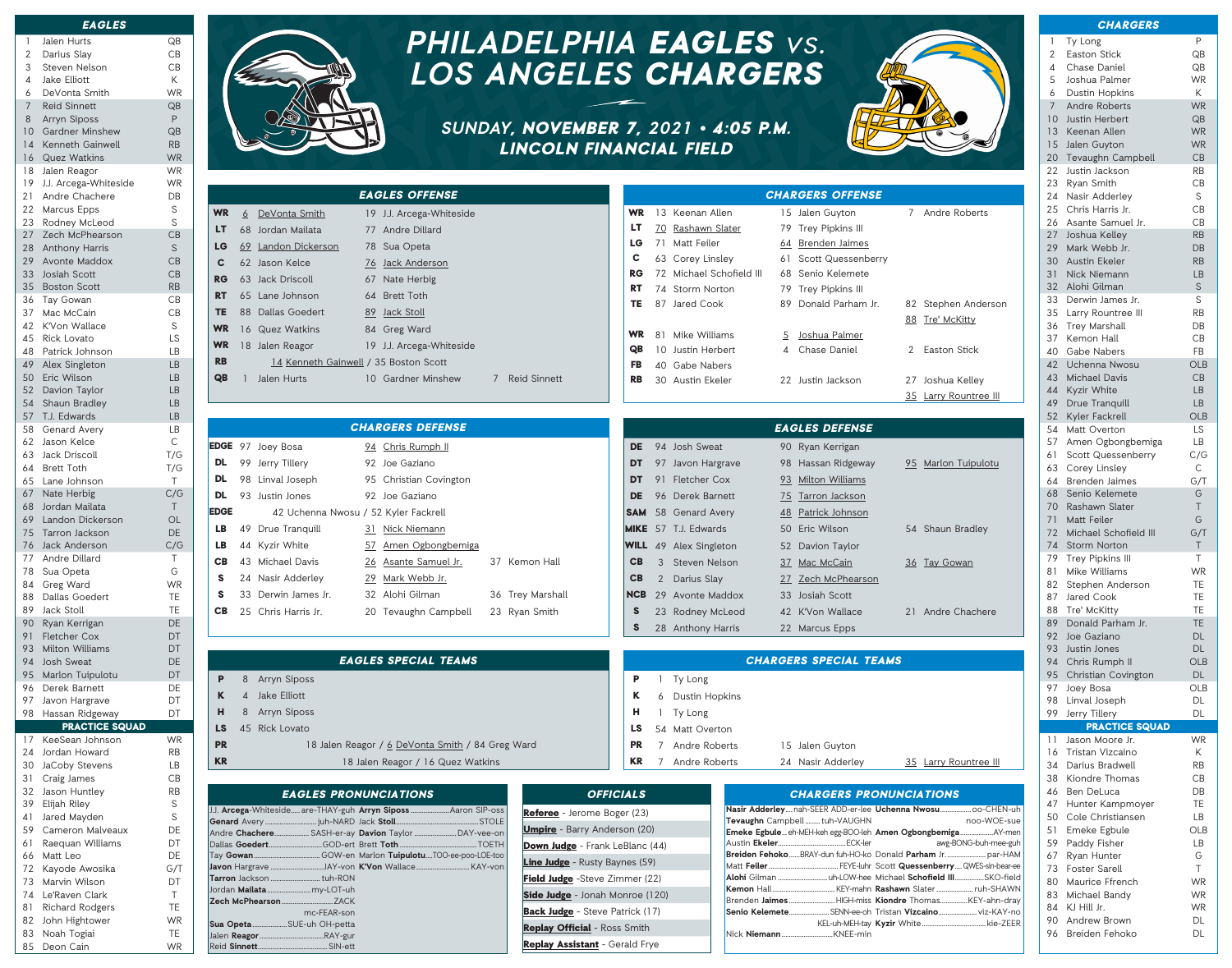|                | <b>EAGLES</b>          |           |
|----------------|------------------------|-----------|
| 1              | Jalen Hurts            | QB        |
| $\overline{2}$ | Darius Slay            | CB        |
| 3              | Steven Nelson          | CB        |
| 4              | <b>Jake Elliott</b>    | Κ         |
| 6              | DeVonta Smith          | <b>WR</b> |
| 7              | <b>Reid Sinnett</b>    | QB        |
| 8              | <b>Arryn Siposs</b>    | P         |
| 10             | <b>Gardner Minshew</b> | QB        |
| 14             | Kenneth Gainwell       | RB        |
| 16             | <b>Quez Watkins</b>    | <b>WR</b> |
| 18             | Jalen Reagor           | WR        |
| 19             | J.J. Arcega-Whiteside  | WR        |
| 21             | Andre Chachere         | DB        |
| 22             | <b>Marcus Epps</b>     | S         |
| 23             | Rodney McLeod          | S         |
| 27             | Zech McPhearson        | CB        |
| 28             | Anthony Harris         | S         |
| 29             | Avonte Maddox          | CB        |
| 33             | Josiah Scott           | CB        |
|                | 35 Boston Scott        | <b>RB</b> |
| 36             | <b>Tay Gowan</b>       | CB        |
| 37             | Mac McCain             | CB        |
| 42             | K'Von Wallace          | S         |
| 45             | Rick Lovato            | LS        |
| 48             | Patrick Johnson        | LВ        |
| 49             | Alex Singleton         | <b>LB</b> |
| 50             | Eric Wilson            | <b>LB</b> |
| 52             | Davion Taylor          | <b>LB</b> |
| 54             | <b>Shaun Bradley</b>   | <b>LB</b> |
| 57             | T.J. Edwards           | LB        |
| 58             | Genard Avery           | LВ        |
| 62             | Jason Kelce            | C         |
| 63             | Jack Driscoll          | T/G       |
| 64             | <b>Brett Toth</b>      | T/G       |
| 65             | Lane Johnson           | T.        |
| 67             | Nate Herbig            | C/G       |
| 68             | Jordan Mailata         | Τ         |
| 69             | Landon Dickerson       | OL        |
| 75             | <b>Tarron Jackson</b>  | DE        |
| 76             | <b>Jack Anderson</b>   | C/G       |
| 77             | Andre Dillard          | Τ         |
| 78             | Sua Opeta              | G         |
| 84             | Greg Ward              | <b>WR</b> |
| 88             | Dallas Goedert         | TE        |
| 89             | <b>Jack Stoll</b>      | TE        |
| 90             | Ryan Kerrigan          | DE        |
| 91             | <b>Fletcher Cox</b>    | DT        |
| 93             | <b>Milton Williams</b> | DT        |
| 94             | <b>Josh Sweat</b>      | DE        |
| 95             | Marlon Tuipulotu       | DT        |
| 96             | Derek Barnett          | DE        |
| 97             | Javon Hargrave         | DT        |
| 98             | Hassan Ridgeway        | DT        |
|                | <b>PRACTICE SQUAD</b>  |           |
| 17             | KeeSean Johnson        | WR.       |
| 24             | Jordan Howard          | RB        |
| 30             | JaCoby Stevens         | LВ        |
| 31             | Craig James            | CB        |
| 32             | Jason Huntley          | RB        |
| 39             | Elijah Riley           | S         |
|                |                        |           |



- 66 Matt Leo DE
- 72 Kayode Awosika G/T

83 Noah Togiai TE 85 Deon Cain WR J.J. **Arcega**-Whiteside..... are

**Genard** Avery ... Andre **Chachere**. Dallas Goedert... Tay Gowan. Javon Hargrave. Tarron Jackson. Jordan **Mailata**. **Zech McPhearson...** 

**Sua Opeta.** Jalen **Reagor**. **Reid Sinnett.** 

- 73 Marvin Wilson DT
- 74 Le'Raven Clark T 81 Richard Rodgers
- 82 John Hightower WR



EAGLES OFFENSE

# **PHILADELPHIA** EAGLES vs. **LOS ANGELES** CHARGERS

## **SUNDAY**, NOVEMBER 7, **2021** • 4:05 P.M. LINCOLN FINANCIAL FIELD



CHARGERS OFFENSE

|               |                       | <b>CHARGERS</b>                             |                      |
|---------------|-----------------------|---------------------------------------------|----------------------|
|               | 1                     | Ty Long                                     | P                    |
|               | 2                     | Easton Stick                                | QB                   |
|               | 4                     | Chase Daniel                                | QB                   |
|               | 5                     | Joshua Palmer                               | <b>WR</b>            |
|               | 6                     | <b>Dustin Hopkins</b>                       | Κ                    |
|               | $7^{\circ}$           | <b>Andre Roberts</b>                        | <b>WR</b>            |
|               | 10<br>13 <sup>7</sup> | Justin Herbert<br>Keenan Allen              | QB<br><b>WR</b>      |
|               |                       | 15 Jalen Guyton                             | <b>WR</b>            |
|               |                       | 20 Tevaughn Campbell                        | CB                   |
|               | 22                    | Justin Jackson                              | <b>RB</b>            |
|               | 23                    | Ryan Smith                                  | CB                   |
|               |                       | 24 Nasir Adderley                           | S                    |
|               |                       | 25 Chris Harris Jr.<br>26 Asante Samuel Jr. | CB<br>CB             |
|               | 27                    | Joshua Kelley                               | <b>RB</b>            |
|               | 29                    | Mark Webb Jr.                               | <b>D<sub>B</sub></b> |
|               |                       | 30 Austin Fkeler                            | <b>RB</b>            |
|               |                       | 31 Nick Niemann                             | <b>LB</b>            |
|               |                       | 32 Alohi Gilman                             | S.                   |
| ገ             | 33                    | Derwin James Jr.                            | S                    |
|               |                       | 35 Larry Rountree III<br>36 Trey Marshall   | <b>RB</b><br>DB      |
|               |                       | 37 Kemon Hall                               | CB                   |
|               | 40                    | Gabe Nabers                                 | FB                   |
|               |                       | 42 Uchenna Nwosu                            | <b>OLB</b>           |
|               |                       | 43 Michael Davis                            | CB                   |
|               |                       | 44 Kyzir White                              | LB                   |
|               | 49                    | Drue Tranquill                              | LB                   |
|               | 52<br>54              | Kyler Fackrell                              | <b>OLB</b>           |
|               | 57                    | Matt Overton<br>Amen Ogbongbemiga           | LS<br>LВ             |
|               | 61                    | Scott Quessenberry                          | C/G                  |
|               | 63                    | Corey Linsley                               | С                    |
|               |                       | 64 Brenden Jaimes                           | G/T                  |
|               | 68                    | Senio Kelemete                              | G                    |
|               | 71                    | 70 Rashawn Slater<br><b>Matt Feiler</b>     | T<br>G               |
|               |                       | 72 Michael Schofield III                    | G/T                  |
|               |                       | 74 Storm Norton                             | Τ                    |
|               | 79                    | Trey Pipkins III                            | Τ                    |
|               | 81                    | Mike Williams                               | WR                   |
|               | 82                    | Stephen Anderson                            | TE                   |
|               | 87<br>88              | Jared Cook<br>Tre' McKitty                  | ТE<br>TE             |
|               | 89                    | Donald Parham Jr.                           | TE                   |
|               | 92                    | Joe Gaziano                                 | DL                   |
|               | 93                    | Justin Jones                                | DL                   |
|               | 94                    | Chris Rumph II                              | <b>OLB</b>           |
|               | 95                    | Christian Covington                         | DL                   |
|               | 97<br>98              | Joey Bosa<br>Linval Joseph                  | OLB<br>DL            |
|               | 99                    | Jerry Tillery                               | DL                   |
|               |                       | <b>PRACTICE SQUAD</b>                       |                      |
|               | 11                    | Jason Moore Jr.                             | WR                   |
|               | 16                    | Tristan Vizcaino                            | Κ                    |
|               | 34<br>38              | Darius Bradwell<br>Kiondre Thomas           | RB<br>CB             |
|               | 46                    | Ben DeLuca                                  | DB                   |
| $\sqrt{-}$ uh | 47                    | Hunter Kampmoyer                            | TE                   |
| -sue          | 50                    | Cole Christiansen                           | LВ                   |
| -men          | 51                    | Emeke Egbule                                | OLB                  |
| e-guh         | 59                    | Paddy Fisher                                | LВ                   |
| HAM<br>ar-ee  | 67<br>73              | Ryan Hunter<br><b>Foster Sarell</b>         | G<br>Τ               |
| field         | 80                    | Maurice Ffrench                             | WR                   |
| <b>NWA</b>    | 83                    | Michael Bandy                               | WR                   |
| dray<br>V.    | 84                    | KJ Hill Jr.                                 | WR                   |

90 Andrew Brown DL 96 Breiden Fehoko DL

| <b>WR</b>   | 6              | DeVonta Smith            | 19 J.J. Arcega-Whiteside                         |                  | <b>WR</b>  |              | 13 Keenan Allen               |   | 15 Jalen Guyton               | 7 Andre Roberts       |
|-------------|----------------|--------------------------|--------------------------------------------------|------------------|------------|--------------|-------------------------------|---|-------------------------------|-----------------------|
| LT.         |                | 68 Jordan Mailata        | 77 Andre Dillard                                 |                  | LT         | 70           | Rashawn Slater                |   | 79 Trey Pipkins III           |                       |
| LG          |                | 69 Landon Dickerson      | 78 Sua Opeta                                     |                  | LG         | 71           | Matt Feiler                   |   | 64 Brenden Jaimes             |                       |
| C           |                | 62 Jason Kelce           | 76 Jack Anderson                                 |                  | C          |              | 63 Corey Linsley              |   | 61 Scott Quessenberry         |                       |
| RG          |                | 63 Jack Driscoll         | 67 Nate Herbig                                   |                  | <b>RG</b>  |              | 72 Michael Schofield III      |   | 68 Senio Kelemete             |                       |
| RT.         |                | 65 Lane Johnson          | 64 Brett Toth                                    |                  | <b>RT</b>  | 74           | Storm Norton                  |   | 79 Trey Pipkins III           |                       |
| TE          |                | 88 Dallas Goedert        | 89 Jack Stoll                                    |                  | TE         |              | 87 Jared Cook                 |   | 89 Donald Parham Jr.          | 82 Stephen Anderson   |
| <b>WR</b>   |                | 16 Quez Watkins          | 84 Greg Ward                                     |                  |            |              |                               |   |                               | 88 Tre' McKitty       |
| <b>WR</b>   |                | 18 Jalen Reagor          | 19 J.J. Arcega-Whiteside                         |                  | <b>WR</b>  | 81           | Mike Williams                 | 5 | Joshua Palmer                 |                       |
| <b>RB</b>   |                |                          | 14 Kenneth Gainwell / 35 Boston Scott            |                  | QB         |              | 10 Justin Herbert             | 4 | <b>Chase Daniel</b>           | 2 Easton Stick        |
| QB          |                | 1 Jalen Hurts            | 10 Gardner Minshew                               | 7 Reid Sinnett   | FB         |              | 40 Gabe Nabers                |   |                               |                       |
|             |                |                          |                                                  |                  | <b>RB</b>  |              | 30 Austin Ekeler              |   | 22 Justin Jackson             | 27 Joshua Kelley      |
|             |                |                          |                                                  |                  |            |              |                               |   |                               | 35 Larry Rountree III |
|             |                |                          |                                                  |                  |            |              |                               |   |                               |                       |
|             |                |                          | <b>CHARGERS DEFENSE</b>                          |                  |            |              |                               |   | <b>EAGLES DEFENSE</b>         |                       |
|             |                | <b>EDGE</b> 97 Joey Bosa | 94 Chris Rumph II                                |                  | DE.        |              | 94 Josh Sweat                 |   | 90 Ryan Kerrigan              |                       |
| DL          |                | 99 Jerry Tillery         | 92 Joe Gaziano                                   |                  | DT.        |              | 97 Javon Hargrave             |   | 98 Hassan Ridgeway            | 95 Marlon Tuipulotu   |
| DL.         |                | 98 Linval Joseph         | 95 Christian Covington                           |                  | <b>DT</b>  |              | 91 Fletcher Cox               |   | 93 Milton Williams            |                       |
| DL          |                | 93 Justin Jones          | 92 Joe Gaziano                                   |                  | <b>DE</b>  |              | 96 Derek Barnett              |   | 75 Tarron Jackson             |                       |
| <b>EDGE</b> |                |                          | 42 Uchenna Nwosu / 52 Kyler Fackrell             |                  | <b>SAM</b> |              | 58 Genard Avery               |   | 48 Patrick Johnson            |                       |
| LB.         |                | 49 Drue Tranquill        | 31 Nick Niemann                                  |                  |            |              | <b>MIKE</b> 57 T.J. Edwards   |   | 50 Eric Wilson                | 54 Shaun Bradley      |
| LB.         |                | 44 Kyzir White           | 57 Amen Ogbongbemiga                             |                  |            |              | <b>WILL</b> 49 Alex Singleton |   | 52 Davion Taylor              |                       |
| <b>CB</b>   |                | 43 Michael Davis         | 26 Asante Samuel Jr.                             | 37 Kemon Hall    | СB         | 3            | Steven Nelson                 |   | 37 Mac McCain                 | 36 Tay Gowan          |
| s           |                | 24 Nasir Adderley        | 29 Mark Webb Jr.                                 |                  | CВ         | $2^{\circ}$  | Darius Slay                   |   | 27 Zech McPhearson            |                       |
| s           |                | 33 Derwin James Jr.      | 32 Alohi Gilman                                  | 36 Trey Marshall | <b>NCB</b> |              | 29 Avonte Maddox              |   | 33 Josiah Scott               |                       |
| СB          |                | 25 Chris Harris Jr.      | 20 Tevaughn Campbell                             | 23 Ryan Smith    | S          |              | 23 Rodney McLeod              |   | 42 K'Von Wallace              | 21 Andre Chachere     |
|             |                |                          |                                                  |                  | S          |              | 28 Anthony Harris             |   | 22 Marcus Epps                |                       |
|             |                |                          |                                                  |                  |            |              |                               |   |                               |                       |
|             |                |                          | <b>EAGLES SPECIAL TEAMS</b>                      |                  |            |              |                               |   | <b>CHARGERS SPECIAL TEAMS</b> |                       |
| P           | 8              | <b>Arryn Siposs</b>      |                                                  |                  | P          | $\mathbf{1}$ | Ty Long                       |   |                               |                       |
| ĸ           | $\overline{4}$ | Jake Elliott             |                                                  |                  | Κ          | 6            | <b>Dustin Hopkins</b>         |   |                               |                       |
| н,          | 8              | Arryn Siposs             |                                                  |                  | н          |              | Ty Long                       |   |                               |                       |
| LS          |                | 45 Rick Lovato           |                                                  |                  | LS         | 54           | Matt Overton                  |   |                               |                       |
| <b>PR</b>   |                |                          | 18 Jalen Reagor / 6 DeVonta Smith / 84 Greg Ward |                  | <b>PR</b>  |              | Andre Roberts                 |   | 15 Jalen Guyton               |                       |
| <b>KR</b>   |                |                          | 18 Jalen Reagor / 16 Quez Watkins                |                  | KR.        | $7^{\circ}$  | Andre Roberts                 |   | 24 Nasir Adderley             | 35 Larry Rountree III |
|             |                |                          |                                                  |                  |            |              |                               |   |                               |                       |

**OFFICIALS** 

## **Arryn Siposs** .....................Aaron SIP-oss EAGLES PRONUNCIATIONS e - Jerome Boger (23) - Barry Anderson (20)

|                    | le are-THAY-guh Arryn Siposs  Aaron SIP-oss       | <b>Referee</b> - Jerome Boger (23)     |
|--------------------|---------------------------------------------------|----------------------------------------|
|                    |                                                   | <b>Umpire</b> - Barry Anderson (20)    |
|                    | SASH-er-ay Davion Taylor DAY-vee-on               | <b>Down Judge</b> - Frank LeBlanc (44) |
|                    | GOW-en Marlon <b>Tuipulotu</b> TOO-ee-poo-LOE-too | <b>Line Judge</b> - Rusty Baynes (59)  |
| tuh-RON            |                                                   | <b>Field Judge</b> - Steve Zimmer (22) |
| my-LOT-uh<br>ZACK  |                                                   | <b>Side Judge</b> - Jonah Monroe (120) |
| mc-FEAR-son        |                                                   | <b>Back Judge</b> - Steve Patrick (17) |
| .SUE-uh OH-petta   |                                                   | <b>Replay Official - Ross Smith</b>    |
| RAY-gur<br>SIN-ett |                                                   | Replay Assistant - Gerald Frye         |

|                                                              | <b>CHARGERS PRONUNCIATIONS</b> |             |
|--------------------------------------------------------------|--------------------------------|-------------|
| Nasir Adderley nah-SEER ADD-er-lee Uchenna Nwosu oo-CHEN-uh  |                                |             |
| Tevaughn Campbell  tuh-VAUGHN                                |                                | noo-WOE-sue |
| Emeke Egbule eh-MEH-keh egg-BOO-leh Amen Ogbongbemiga AY-men |                                |             |
|                                                              |                                |             |
| Breiden FehokoBRAY-dun fuh-HO-ko Donald Parham Jr par-HAM    |                                |             |
|                                                              |                                |             |
| Alohi Gilman uh-LOW-hee Michael Schofield IIISKO-field       |                                |             |
|                                                              |                                |             |
| Brenden JaimesHIGH-miss Kiondre ThomasKEY-ahn-dray           |                                |             |
| Senio KelemeteSENN-ee-oh Tristan Vizcaino viz-KAY-no         |                                |             |
|                                                              |                                |             |
|                                                              |                                |             |
|                                                              |                                |             |